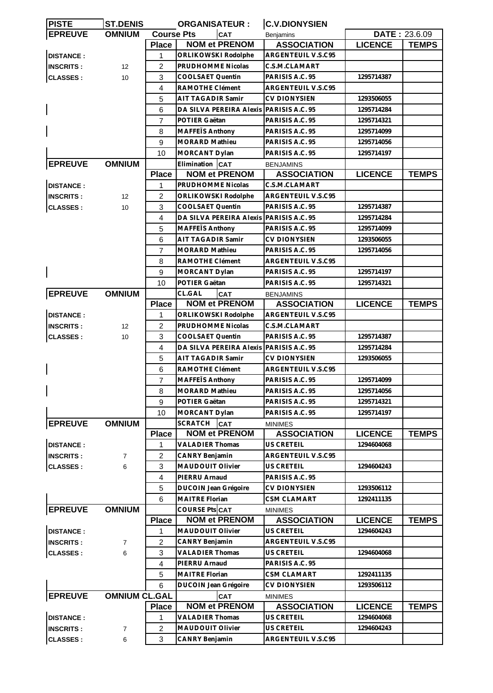| <b>PISTE</b>     | <b>ST.DENIS</b>      |                   | <b>ORGANISATEUR:</b>                          | <b>C.V.DIONYSIEN</b> |                |                      |
|------------------|----------------------|-------------------|-----------------------------------------------|----------------------|----------------|----------------------|
| <b>EPREUVE</b>   | <b>OMNIUM</b>        | <b>Course Pts</b> | <b>CAT</b>                                    | <b>Benjamins</b>     |                | <b>DATE: 23.6.09</b> |
|                  |                      | Place             | <b>NOM et PRENOM</b>                          | <b>ASSOCIATION</b>   | <b>LICENCE</b> | <b>TEMPS</b>         |
| <b>DISTANCE:</b> |                      | 1                 | ORLIKOWSKI Rodolphe                           | ARGENTEUIL V.S.C95   |                |                      |
| <b>INSCRITS:</b> | 12                   | $\overline{c}$    | PRUDHOMME Nicolas                             | C.S.M.CLAMART        |                |                      |
| <b>CLASSES:</b>  | 10                   | 3                 | COOLSAET Quentin                              | PARISIS A.C. 95      | 1295714387     |                      |
|                  |                      | 4                 | RAMOTHE Clément                               | ARGENTEUIL V.S.C95   |                |                      |
|                  |                      | 5                 | AIT TAGADIR Samir                             | <b>CV DIONYSIEN</b>  | 1293506055     |                      |
|                  |                      | 6                 | DA SILVA PEREIRA Alexis                       | PARISIS A.C. 95      | 1295714284     |                      |
|                  |                      | 7                 | POTIER Gaëtan                                 | PARISIS A.C. 95      | 1295714321     |                      |
|                  |                      | 8                 | MAFFEIS Anthony                               | PARISIS A.C. 95      | 1295714099     |                      |
|                  |                      | 9                 | <b>MORARD Mathieu</b>                         | PARISIS A.C. 95      | 1295714056     |                      |
|                  |                      | 10                | MORCANT Dylan                                 | PARISIS A.C. 95      | 1295714197     |                      |
| <b>EPREUVE</b>   | <b>OMNIUM</b>        |                   | Elimination CAT                               | <b>BENJAMINS</b>     |                |                      |
|                  |                      | <b>Place</b>      | <b>NOM et PRENOM</b>                          | <b>ASSOCIATION</b>   | <b>LICENCE</b> | <b>TEMPS</b>         |
| <b>DISTANCE:</b> |                      | 1                 | PRUDHOMME Nicolas                             | C.S.M.CLAMART        |                |                      |
|                  |                      |                   |                                               |                      |                |                      |
| <b>INSCRITS:</b> | 12                   | $\overline{2}$    | ORLIKOWSKI Rodolphe                           | ARGENTEUIL V.S.C95   |                |                      |
| <b>CLASSES:</b>  | 10                   | 3                 | COOLSAET Quentin                              | PARISIS A.C. 95      | 1295714387     |                      |
|                  |                      | 4                 | DA SILVA PEREIRA Alexis PARISIS A.C. 95       |                      | 1295714284     |                      |
|                  |                      | 5                 | MAFFEIS Anthony                               | PARISIS A.C. 95      | 1295714099     |                      |
|                  |                      | 6                 | AIT TAGADIR Samir                             | CV DIONYSIEN         | 1293506055     |                      |
|                  |                      | $\overline{7}$    | <b>MORARD Mathieu</b>                         | PARISIS A.C. 95      | 1295714056     |                      |
|                  |                      | 8                 | RAMOTHE Clément                               | ARGENTEUIL V.S.C95   |                |                      |
|                  |                      | 9                 | MORCANT Dylan                                 | PARISIS A.C. 95      | 1295714197     |                      |
|                  |                      | 10                | POTIER Gaëtan                                 | PARISIS A.C. 95      | 1295714321     |                      |
| <b>EPREUVE</b>   | <b>OMNIUM</b>        |                   | CL.GAL<br>CAT                                 | <b>BENJAMINS</b>     |                |                      |
|                  |                      | <b>Place</b>      | <b>NOM et PRENOM</b>                          | <b>ASSOCIATION</b>   | <b>LICENCE</b> | <b>TEMPS</b>         |
| <b>DISTANCE:</b> |                      | 1                 | ORLIKOWSKI Rodolphe                           | ARGENTEUIL V.S.C95   |                |                      |
| <b>INSCRITS:</b> | 12                   | $\overline{2}$    | PRUDHOMME Nicolas                             | C.S.M.CLAMART        |                |                      |
| <b>CLASSES:</b>  | 10                   | 3                 | COOLSAET Quentin                              | PARISIS A.C. 95      | 1295714387     |                      |
|                  |                      | 4                 | DA SILVA PEREIRA Alexis PARISIS A.C. 95       |                      | 1295714284     |                      |
|                  |                      | 5                 | AIT TAGADIR Samir                             | <b>CV DIONYSIEN</b>  | 1293506055     |                      |
|                  |                      | 6                 | RAMOTHE Clément                               | ARGENTEUIL V.S.C95   |                |                      |
|                  |                      | $\overline{7}$    | MAFFEIS Anthony                               | PARISIS A.C. 95      | 1295714099     |                      |
| $\mathbf{I}$     |                      | 8                 | MORARD Mathieu                                | PARISIS A.C. 95      | 1295714056     |                      |
|                  |                      | 9                 | POTIER Gaëtan                                 | PARISIS A.C. 95      | 1295714321     |                      |
|                  |                      | 10                | MORCANT Dylan                                 | PARISIS A.C. 95      | 1295714197     |                      |
| <b>EPREUVE</b>   | <b>OMNIUM</b>        |                   | <b>SCRATCH</b><br><b>CAT</b>                  | <b>MINIMES</b>       |                |                      |
|                  |                      | <b>Place</b>      | <b>NOM et PRENOM</b>                          | <b>ASSOCIATION</b>   | <b>LICENCE</b> | <b>TEMPS</b>         |
| <b>DISTANCE:</b> |                      | 1                 | <b>VALADIER Thomas</b>                        | <b>US CRETEIL</b>    | 1294604068     |                      |
| <b>INSCRITS:</b> | 7                    | $\overline{2}$    | <b>CANRY Benjamin</b>                         | ARGENTEUIL V.S.C95   |                |                      |
| <b>CLASSES:</b>  | 6                    | 3                 | MAUDOUIT Olivier                              | US CRETEIL           | 1294604243     |                      |
|                  |                      | 4                 | PIERRU Arnaud                                 | PARISIS A.C. 95      |                |                      |
|                  |                      | 5                 |                                               | <b>CV DIONYSIEN</b>  | 1293506112     |                      |
|                  |                      |                   | DUCOIN Jean Grégoire<br><b>MAITRE Florian</b> |                      |                |                      |
|                  |                      | 6                 |                                               | <b>CSM CLAMART</b>   | 1292411135     |                      |
| <b>EPREUVE</b>   | <b>OMNIUM</b>        |                   | COURSE Pts CAT                                | <b>MINIMES</b>       |                |                      |
|                  |                      | <b>Place</b>      | <b>NOM et PRENOM</b>                          | <b>ASSOCIATION</b>   | <b>LICENCE</b> | <b>TEMPS</b>         |
| <b>DISTANCE:</b> |                      | 1                 | MAUDOUIT Olivier                              | <b>US CRETEIL</b>    | 1294604243     |                      |
| <b>INSCRITS:</b> | $\overline{7}$       | $\overline{c}$    | <b>CANRY Benjamin</b>                         | ARGENTEUIL V.S.C95   |                |                      |
| <b>CLASSES:</b>  | 6                    | 3                 | <b>VALADIER Thomas</b>                        | <b>US CRETEIL</b>    | 1294604068     |                      |
|                  |                      | 4                 | PIERRU Arnaud                                 | PARISIS A.C. 95      |                |                      |
|                  |                      | 5                 | MAITRE Florian                                | <b>CSM CLAMART</b>   | 1292411135     |                      |
|                  |                      | 6                 | <b>DUCOIN Jean Grégoire</b>                   | <b>CV DIONYSIEN</b>  | 1293506112     |                      |
| <b>EPREUVE</b>   | <b>OMNIUM CL.GAL</b> |                   | CAT                                           | <b>MINIMES</b>       |                |                      |
|                  |                      | <b>Place</b>      | <b>NOM et PRENOM</b>                          | <b>ASSOCIATION</b>   | <b>LICENCE</b> | <b>TEMPS</b>         |
| <b>DISTANCE:</b> |                      | 1                 | <b>VALADIER Thomas</b>                        | <b>US CRETEIL</b>    | 1294604068     |                      |
| <b>INSCRITS:</b> | $\overline{7}$       | $\overline{2}$    | <b>MAUDOUIT Olivier</b>                       | US CRETEIL           | 1294604243     |                      |
| <b>CLASSES:</b>  | 6                    | 3                 | CANRY Benjamin                                | ARGENTEUIL V.S.C95   |                |                      |
|                  |                      |                   |                                               |                      |                |                      |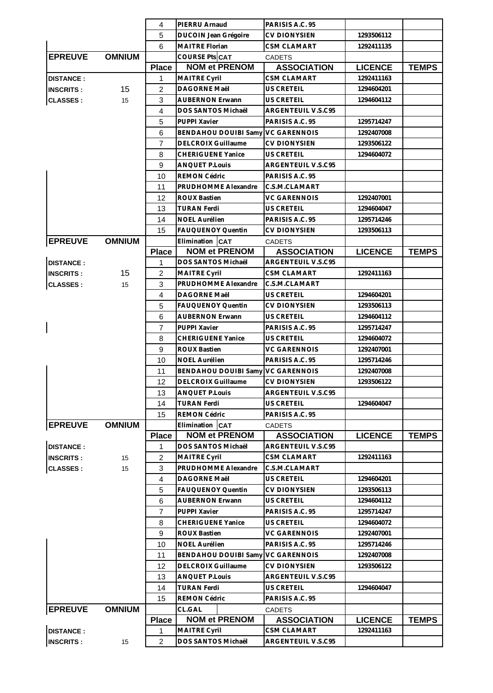|                                          |               | 4                   | PIERRU Arnaud                     | PARISIS A.C. 95     |                |              |
|------------------------------------------|---------------|---------------------|-----------------------------------|---------------------|----------------|--------------|
|                                          |               | 5                   | <b>DUCOIN Jean Grégoire</b>       | <b>CV DIONYSIEN</b> | 1293506112     |              |
|                                          |               | 6                   | MAITRE Florian                    | <b>CSM CLAMART</b>  | 1292411135     |              |
| <b>EPREUVE</b>                           | <b>OMNIUM</b> |                     | COURSE Pts CAT                    | <b>CADETS</b>       |                |              |
|                                          |               | <b>Place</b>        | <b>NOM et PRENOM</b>              | <b>ASSOCIATION</b>  | <b>LICENCE</b> | <b>TEMPS</b> |
| <b>DISTANCE:</b>                         |               | 1                   | <b>MAITRE Cyril</b>               | <b>CSM CLAMART</b>  | 1292411163     |              |
| 15<br>$\overline{2}$<br><b>INSCRITS:</b> |               | <b>DAGORNE Maël</b> | <b>US CRETEIL</b>                 | 1294604201          |                |              |
| <b>CLASSES:</b><br>15                    |               | 3                   | <b>AUBERNON Erwann</b>            | US CRETEIL          | 1294604112     |              |
|                                          |               | 4                   | DOS SANTOS Michaël                | ARGENTEUIL V.S.C95  |                |              |
|                                          |               | 5                   | PUPPI Xavier                      | PARISIS A.C. 95     | 1295714247     |              |
|                                          |               | 6                   | <b>BENDAHOU DOUIBI Samy</b>       | <b>VC GARENNOIS</b> | 1292407008     |              |
|                                          |               | $\overline{7}$      | <b>DELCROIX Guillaume</b>         | <b>CV DIONYSIEN</b> | 1293506122     |              |
|                                          |               | 8                   | <b>CHERIGUENE Yanice</b>          | <b>US CRETEIL</b>   | 1294604072     |              |
|                                          |               | 9                   | <b>ANQUET P.Louis</b>             | ARGENTEUIL V.S.C95  |                |              |
|                                          |               |                     |                                   |                     |                |              |
|                                          |               | 10                  | REMON Cédric                      | PARISIS A.C. 95     |                |              |
|                                          |               | 11                  | PRUDHOMME Alexandre               | C.S.M.CLAMART       |                |              |
|                                          |               | 12                  | <b>ROUX Bastien</b>               | <b>VC GARENNOIS</b> | 1292407001     |              |
|                                          |               | 13                  | <b>TURAN Ferdi</b>                | US CRETEIL          | 1294604047     |              |
|                                          |               | 14                  | <b>NOEL Aurélien</b>              | PARISIS A.C. 95     | 1295714246     |              |
|                                          |               | 15                  | FAUQUENOY Quentin                 | CV DIONYSIEN        | 1293506113     |              |
| <b>EPREUVE</b>                           | <b>OMNIUM</b> |                     | Elimination CAT                   | <b>CADETS</b>       |                |              |
|                                          |               | <b>Place</b>        | <b>NOM et PRENOM</b>              | <b>ASSOCIATION</b>  | <b>LICENCE</b> | <b>TEMPS</b> |
| <b>DISTANCE:</b>                         |               | $\mathbf{1}$        | DOS SANTOS Michaël                | ARGENTEUIL V.S.C95  |                |              |
| <b>INSCRITS:</b>                         | 15            | $\overline{2}$      | <b>MAITRE Cyril</b>               | <b>CSM CLAMART</b>  | 1292411163     |              |
| <b>CLASSES:</b>                          | 15            | 3                   | PRUDHOMME Alexandre               | C.S.M.CLAMART       |                |              |
|                                          |               | 4                   | DAGORNE Maël                      | US CRETEIL          | 1294604201     |              |
|                                          |               | 5                   | <b>FAUQUENOY Quentin</b>          | <b>CV DIONYSIEN</b> | 1293506113     |              |
|                                          |               | 6                   | <b>AUBERNON Erwann</b>            | US CRETEIL          | 1294604112     |              |
|                                          |               | 7                   | PUPPI Xavier                      | PARISIS A.C. 95     | 1295714247     |              |
|                                          |               | 8                   | <b>CHERIGUENE Yanice</b>          | US CRETEIL          | 1294604072     |              |
|                                          |               | 9                   | <b>ROUX Bastien</b>               | <b>VC GARENNOIS</b> | 1292407001     |              |
|                                          |               | 10                  | <b>NOEL Aurélien</b>              | PARISIS A.C. 95     | 1295714246     |              |
|                                          |               | 11                  | BENDAHOU DOUIBI Samy VC GARENNOIS |                     | 1292407008     |              |
|                                          |               | 12                  | <b>DELCROIX Guillaume</b>         | <b>CV DIONYSIEN</b> | 1293506122     |              |
|                                          |               | 13                  | <b>ANQUET P.Louis</b>             | ARGENTEUIL V.S.C95  |                |              |
|                                          |               | 14                  | <b>TURAN Ferdi</b>                | US CRETEIL          | 1294604047     |              |
|                                          |               | 15                  | <b>REMON Cédric</b>               | PARISIS A.C. 95     |                |              |
| <b>EPREUVE</b>                           | <b>OMNIUM</b> |                     | Elimination CAT                   | <b>CADETS</b>       |                |              |
|                                          |               | <b>Place</b>        | <b>NOM et PRENOM</b>              | <b>ASSOCIATION</b>  | <b>LICENCE</b> | <b>TEMPS</b> |
| <b>DISTANCE:</b>                         |               | 1                   | DOS SANTOS Michaël                | ARGENTEUIL V.S.C95  |                |              |
| <b>INSCRITS:</b>                         | 15            | $\overline{c}$      | <b>MAITRE Cyril</b>               | <b>CSM CLAMART</b>  | 1292411163     |              |
| <b>CLASSES:</b>                          | 15            | 3                   | PRUDHOMME Alexandre               | C.S.M.CLAMART       |                |              |
|                                          |               | $\overline{4}$      | DAGORNE Maël                      | US CRETEIL          | 1294604201     |              |
|                                          |               | 5                   | <b>FAUQUENOY Quentin</b>          | <b>CV DIONYSIEN</b> | 1293506113     |              |
|                                          |               | 6                   |                                   |                     |                |              |
|                                          |               |                     | <b>AUBERNON Erwann</b>            | US CRETEIL          | 1294604112     |              |
|                                          |               | 7                   | PUPPI Xavier                      | PARISIS A.C. 95     | 1295714247     |              |
|                                          |               | 8                   | <b>CHERIGUENE Yanice</b>          | US CRETEIL          | 1294604072     |              |
|                                          |               | 9                   | <b>ROUX Bastien</b>               | <b>VC GARENNOIS</b> | 1292407001     |              |
|                                          |               | 10                  | <b>NOEL Aurélien</b>              | PARISIS A.C. 95     | 1295714246     |              |
|                                          |               | 11                  | <b>BENDAHOU DOUIBI Samy</b>       | <b>VC GARENNOIS</b> | 1292407008     |              |
|                                          |               | 12                  | DELCROIX Guillaume                | <b>CV DIONYSIEN</b> | 1293506122     |              |
|                                          |               | 13                  | <b>ANQUET P.Louis</b>             | ARGENTEUIL V.S.C95  |                |              |
|                                          |               | 14                  | <b>TURAN Ferdi</b>                | US CRETEIL          | 1294604047     |              |
|                                          |               | 15                  | REMON Cédric                      | PARISIS A.C. 95     |                |              |
| <b>EPREUVE</b>                           | <b>OMNIUM</b> |                     | CL.GAL                            | <b>CADETS</b>       |                |              |
|                                          |               | <b>Place</b>        | <b>NOM et PRENOM</b>              | <b>ASSOCIATION</b>  | <b>LICENCE</b> | <b>TEMPS</b> |
| <b>DISTANCE:</b>                         |               | 1                   | MAITRE Cyril                      | CSM CLAMART         | 1292411163     |              |
| <b>INSCRITS:</b>                         | 15            | $\overline{2}$      | DOS SANTOS Michaël                | ARGENTEUIL V.S.C95  |                |              |
|                                          |               |                     |                                   |                     |                |              |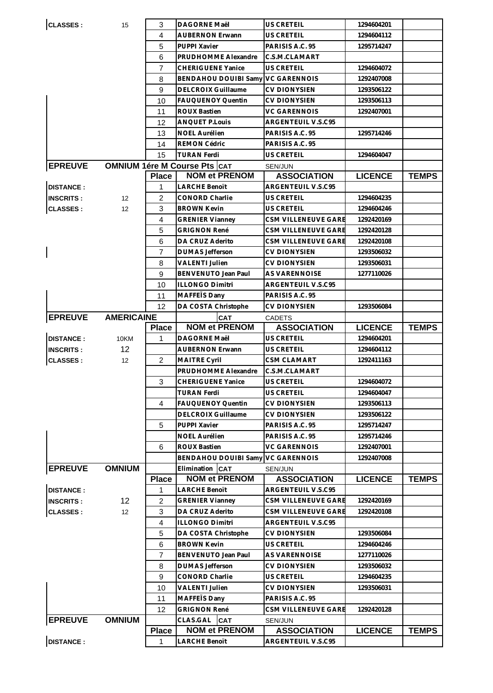| <b>CLASSES:</b>  | 15                | 3                                   | DAGORNE Maël                                 | US CRETEIL                               | 1294604201     |              |
|------------------|-------------------|-------------------------------------|----------------------------------------------|------------------------------------------|----------------|--------------|
|                  |                   | 4                                   | <b>AUBERNON Erwann</b>                       | US CRETEIL                               | 1294604112     |              |
|                  |                   | 5                                   | PUPPI Xavier                                 | PARISIS A.C. 95                          | 1295714247     |              |
|                  |                   | 6                                   | PRUDHOMME Alexandre                          | C.S.M.CLAMART                            |                |              |
|                  |                   | 7                                   | <b>CHERIGUENE Yanice</b>                     | <b>US CRETEIL</b>                        | 1294604072     |              |
|                  |                   | 8                                   | <b>BENDAHOU DOUIBI Samy</b>                  | <b>VC GARENNOIS</b>                      | 1292407008     |              |
|                  |                   | 9                                   | <b>DELCROIX Guillaume</b>                    | CV DIONYSIEN                             | 1293506122     |              |
|                  |                   | 10                                  | <b>FAUQUENOY Quentin</b>                     | CV DIONYSIEN                             | 1293506113     |              |
|                  |                   | 11                                  | ROUX Bastien                                 | VC GARENNOIS                             | 1292407001     |              |
|                  |                   | 12                                  | <b>ANQUET P.Louis</b>                        | ARGENTEUIL V.S.C95                       |                |              |
|                  |                   | 13                                  | <b>NOEL Aurélien</b>                         | PARISIS A.C. 95                          | 1295714246     |              |
|                  |                   | 14                                  | <b>REMON Cédric</b>                          | PARISIS A.C. 95                          |                |              |
|                  |                   | 15                                  | <b>TURAN Ferdi</b>                           | US CRETEIL                               | 1294604047     |              |
| <b>EPREUVE</b>   |                   | <b>OMNIUM 1ére M Course Pts CAT</b> |                                              | SEN/JUN                                  |                |              |
|                  |                   | <b>Place</b>                        | <b>NOM et PRENOM</b>                         | <b>ASSOCIATION</b>                       | <b>LICENCE</b> | <b>TEMPS</b> |
| <b>DISTANCE:</b> |                   | 1                                   | <b>LARCHE Benoït</b>                         | ARGENTEUIL V.S.C95                       |                |              |
| <b>INSCRITS:</b> | 12                | 2                                   | CONORD Charlie                               | US CRETEIL                               | 1294604235     |              |
| <b>CLASSES:</b>  | 12                | 3                                   | <b>BROWN Kevin</b>                           | US CRETEIL                               | 1294604246     |              |
|                  |                   | $\overline{4}$                      | <b>GRENIER Vianney</b>                       | CSM VILLENEUVE GARE                      | 1292420169     |              |
|                  |                   | 5                                   | <b>GRIGNON René</b>                          | CSM VILLENEUVE GARE                      | 1292420128     |              |
|                  |                   | 6                                   | DA CRUZ Aderito                              | CSM VILLENEUVE GARE                      | 1292420108     |              |
| $\mathsf{l}$     |                   | 7                                   | <b>DUMAS Jefferson</b>                       | CV DIONYSIEN                             | 1293506032     |              |
|                  |                   | 8                                   | VALENTI Julien                               | <b>CV DIONYSIEN</b>                      | 1293506031     |              |
|                  |                   | 9                                   | <b>BENVENUTO Jean Paul</b>                   | <b>AS VARENNOISE</b>                     | 1277110026     |              |
|                  |                   | 10                                  | <b>ILLONGO Dimitri</b>                       | ARGENTEUIL V.S.C95                       |                |              |
|                  |                   | 11                                  | MAFFEIS Dany                                 | PARISIS A.C. 95                          |                |              |
|                  |                   | 12                                  | DA COSTA Christophe                          | CV DIONYSIEN                             | 1293506084     |              |
| <b>EPREUVE</b>   | <b>AMERICAINE</b> |                                     | <b>CAT</b>                                   | <b>CADETS</b>                            |                |              |
|                  |                   | <b>Place</b>                        | <b>NOM et PRENOM</b>                         | <b>ASSOCIATION</b>                       | <b>LICENCE</b> | <b>TEMPS</b> |
|                  |                   |                                     |                                              |                                          |                |              |
| <b>DISTANCE:</b> | 10KM              | 1                                   | <b>DAGORNE Maël</b>                          | US CRETEIL                               | 1294604201     |              |
| <b>INSCRITS:</b> | 12                |                                     | <b>AUBERNON Erwann</b>                       | US CRETEIL                               | 1294604112     |              |
| <b>CLASSES:</b>  | 12                | 2                                   | <b>MAITRE Cyril</b>                          | <b>CSM CLAMART</b>                       | 1292411163     |              |
|                  |                   |                                     | PRUDHOMME Alexandre                          | C.S.M.CLAMART                            |                |              |
|                  |                   | 3                                   | <b>CHERIGUENE Yanice</b>                     | US CRETEIL                               | 1294604072     |              |
|                  |                   |                                     | <b>TURAN Ferdi</b>                           | <b>US CRETEIL</b>                        | 1294604047     |              |
|                  |                   | 4                                   | <b>FAUQUENOY Quentin</b>                     | <b>CV DIONYSIEN</b>                      | 1293506113     |              |
|                  |                   |                                     | <b>DELCROIX Guillaume</b>                    | <b>CV DIONYSIEN</b>                      | 1293506122     |              |
|                  |                   | 5                                   | PUPPI Xavier                                 | PARISIS A.C. 95                          | 1295714247     |              |
|                  |                   |                                     | <b>NOEL Aurélien</b>                         | PARISIS A.C. 95                          | 1295714246     |              |
|                  |                   | 6                                   | <b>ROUX Bastien</b>                          | <b>VC GARENNOIS</b>                      | 1292407001     |              |
|                  |                   |                                     | <b>BENDAHOU DOUIBI Samy</b>                  | <b>VC GARENNOIS</b>                      | 1292407008     |              |
| <b>EPREUVE</b>   | <b>OMNIUM</b>     |                                     | Elimination CAT                              | SEN/JUN                                  |                |              |
| <b>DISTANCE:</b> |                   | <b>Place</b><br>1                   | <b>NOM et PRENOM</b><br><b>LARCHE Benoit</b> | <b>ASSOCIATION</b><br>ARGENTEUIL V.S.C95 | <b>LICENCE</b> | <b>TEMPS</b> |
| <b>INSCRITS:</b> | 12                | $\overline{c}$                      | <b>GRENIER Vianney</b>                       | CSM VILLENEUVE GARE                      | 1292420169     |              |
| <b>CLASSES:</b>  | 12                | 3                                   | DA CRUZ Aderito                              | CSM VILLENEUVE GARE                      | 1292420108     |              |
|                  |                   | $\overline{4}$                      | <b>ILLONGO Dimitri</b>                       | ARGENTEUIL V.S.C95                       |                |              |
|                  |                   | 5                                   | DA COSTA Christophe                          | <b>CV DIONYSIEN</b>                      | 1293506084     |              |
|                  |                   | 6                                   | <b>BROWN Kevin</b>                           | US CRETEIL                               | 1294604246     |              |
|                  |                   | $\overline{7}$                      | BENVENUTO Jean Paul                          | AS VARENNOISE                            | 1277110026     |              |
|                  |                   | 8                                   | <b>DUMAS Jefferson</b>                       | CV DIONYSIEN                             | 1293506032     |              |
|                  |                   | 9                                   | CONORD Charlie                               | US CRETEIL                               | 1294604235     |              |
|                  |                   | 10                                  | <b>VALENTI Julien</b>                        | CV DIONYSIEN                             | 1293506031     |              |
|                  |                   | 11                                  | MAFFETS Dany                                 | PARISIS A.C. 95                          |                |              |
|                  |                   | 12                                  | <b>GRIGNON René</b>                          | CSM VILLENEUVE GARE                      | 1292420128     |              |
| <b>EPREUVE</b>   | <b>OMNIUM</b>     |                                     | CLAS.GAL<br><b>CAT</b>                       | SEN/JUN                                  |                |              |
| <b>DISTANCE:</b> |                   | <b>Place</b>                        | <b>NOM et PRENOM</b>                         | <b>ASSOCIATION</b>                       | <b>LICENCE</b> | <b>TEMPS</b> |